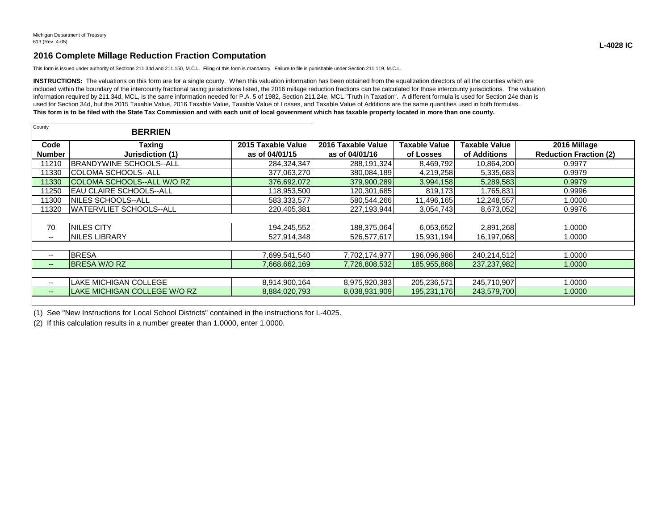## **2016 Complete Millage Reduction Fraction Computation**

This form is issued under authority of Sections 211.34d and 211.150, M.C.L. Filing of this form is mandatory. Failure to file is punishable under Section 211.119, M.C.L.

INSTRUCTIONS: The valuations on this form are for a single county. When this valuation information has been obtained from the equalization directors of all the counties which are included within the boundary of the intercounty fractional taxing jurisdictions listed, the 2016 millage reduction fractions can be calculated for those intercounty jurisdictions. The valuation information required by 211.34d, MCL, is the same information needed for P.A. 5 of 1982, Section 211.24e, MCL "Truth in Taxation". A different formula is used for Section 24e than is used for Section 34d, but the 2015 Taxable Value, 2016 Taxable Value, Taxable Value of Losses, and Taxable Value of Additions are the same quantities used in both formulas. **This form is to be filed with the State Tax Commission and with each unit of local government which has taxable property located in more than one county.**

| County                | <b>BERRIEN</b>                     |                                      |                                      |                            |                                      |                                               |
|-----------------------|------------------------------------|--------------------------------------|--------------------------------------|----------------------------|--------------------------------------|-----------------------------------------------|
| Code<br><b>Number</b> | Taxing<br>Jurisdiction (1)         | 2015 Taxable Value<br>as of 04/01/15 | 2016 Taxable Value<br>as of 04/01/16 | Taxable Value<br>of Losses | <b>Taxable Value</b><br>of Additions | 2016 Millage<br><b>Reduction Fraction (2)</b> |
| 11210                 | <b>IBRANDYWINE SCHOOLS--ALL</b>    | 284,324,347                          | 288,191,324                          | 8,469,792                  | 10,864,200                           | 0.9977                                        |
| 11330                 | COLOMA SCHOOLS--ALL                | 377,063,270                          | 380,084,189                          | 4,219,258                  | 5,335,683                            | 0.9979                                        |
| 11330                 | <b>ICOLOMA SCHOOLS--ALL W/O RZ</b> | 376,692,072                          | 379,900,289                          | 3,994,158                  | 5,289,583                            | 0.9979                                        |
| 11250                 | IEAU CLAIRE SCHOOLS--ALL           | 118,953,500                          | 120,301,685                          | 819,173                    | 1,765,831                            | 0.9996                                        |
| 11300                 | NILES SCHOOLS--ALL                 | 583,333,577                          | 580,544,266                          | 11,496,165                 | 12,248,557                           | 1.0000                                        |
| 11320                 | <b>WATERVLIET SCHOOLS--ALL</b>     | 220,405,381                          | 227,193,944                          | 3,054,743                  | 8,673,052                            | 0.9976                                        |
|                       |                                    |                                      |                                      |                            |                                      |                                               |
| 70                    | <b>INILES CITY</b>                 | 194,245,552                          | 188,375,064                          | 6,053,652                  | 2,891,268                            | 1.0000                                        |
| --                    | <b>INILES LIBRARY</b>              | 527,914,348                          | 526,577,617                          | 15,931,194                 | 16,197,068                           | 1.0000                                        |
|                       |                                    |                                      |                                      |                            |                                      |                                               |
| $- -$                 | <b>BRESA</b>                       | 7,699,541,540                        | 7,702,174,977                        | 196,096,986                | 240,214,512                          | 1.0000                                        |
| $--$                  | <b>BRESA W/O RZ</b>                | 7,668,662,169                        | 7,726,808,532                        | 185,955,868                | 237, 237, 982                        | 1.0000                                        |
|                       |                                    |                                      |                                      |                            |                                      |                                               |
| --                    | <b>LAKE MICHIGAN COLLEGE</b>       | 8,914,900,164                        | 8,975,920,383                        | 205,236,571                | 245,710,907                          | 1.0000                                        |
| $- -$                 | LAKE MICHIGAN COLLEGE W/O RZ       | 8,884,020,793                        | 8,038,931,909                        | 195,231,176                | 243,579,700                          | 1.0000                                        |
|                       |                                    |                                      |                                      |                            |                                      |                                               |

(1) See "New Instructions for Local School Districts" contained in the instructions for L-4025.

(2) If this calculation results in a number greater than 1.0000, enter 1.0000.